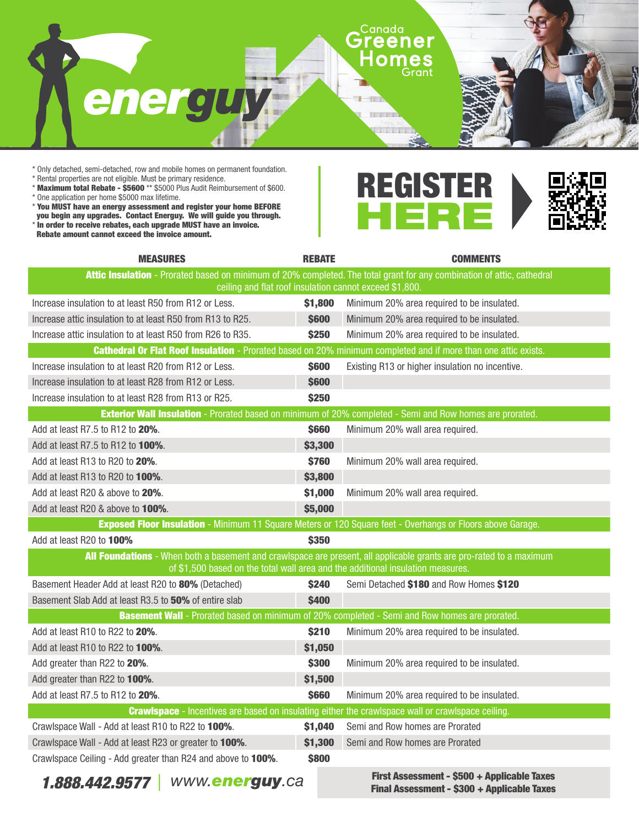

\* Only detached, semi-detached, row and mobile homes on permanent foundation.

\* Rental properties are not eligible. Must be primary residence.

- \* Maximum total Rebate \$5600 \*\* \$5000 Plus Audit Reimbursement of \$600.
- \* One application per home \$5000 max lifetime.
- \* You MUST have an energy assessment and register your home BEFORE you begin any upgrades. Contact Energuy. We will guide you through.
- \* In order to receive rebates, each upgrade MUST have an invoice.
- Rebate amount cannot exceed the invoice amount.



| <b>MEASURES</b>                                                                                                        | <b>REBATE</b> | <b>COMMENTS</b>                                 |  |  |
|------------------------------------------------------------------------------------------------------------------------|---------------|-------------------------------------------------|--|--|
| Attic Insulation - Prorated based on minimum of 20% completed. The total grant for any combination of attic, cathedral |               |                                                 |  |  |
| ceiling and flat roof insulation cannot exceed \$1,800.                                                                |               |                                                 |  |  |
| Increase insulation to at least R50 from R12 or Less.                                                                  | \$1,800       | Minimum 20% area required to be insulated.      |  |  |
| Increase attic insulation to at least R50 from R13 to R25.                                                             | <b>\$600</b>  | Minimum 20% area required to be insulated.      |  |  |
| Increase attic insulation to at least R50 from R26 to R35.                                                             | <b>\$250</b>  | Minimum 20% area required to be insulated.      |  |  |
| <b>Cathedral Or Flat Roof Insulation</b> - Prorated based on 20% minimum completed and if more than one attic exists.  |               |                                                 |  |  |
| Increase insulation to at least R20 from R12 or Less.                                                                  | \$600         | Existing R13 or higher insulation no incentive. |  |  |
| Increase insulation to at least R28 from R12 or Less.                                                                  | \$600         |                                                 |  |  |
| Increase insulation to at least R28 from R13 or R25.                                                                   | <b>\$250</b>  |                                                 |  |  |
| <b>Exterior Wall Insulation</b> - Prorated based on minimum of 20% completed - Semi and Row homes are prorated.        |               |                                                 |  |  |
| Add at least R7.5 to R12 to 20%.                                                                                       | \$660         | Minimum 20% wall area required.                 |  |  |
| Add at least R7.5 to R12 to 100%.                                                                                      | \$3,300       |                                                 |  |  |
| Add at least R13 to R20 to 20%.                                                                                        | \$760         | Minimum 20% wall area required.                 |  |  |
| Add at least R13 to R20 to 100%.                                                                                       | \$3,800       |                                                 |  |  |
| Add at least R20 & above to 20%.                                                                                       | \$1,000       | Minimum 20% wall area required.                 |  |  |
| Add at least R20 & above to <b>100%</b> .                                                                              | \$5,000       |                                                 |  |  |
| <b>Exposed Floor Insulation</b> - Minimum 11 Square Meters or 120 Square feet - Overhangs or Floors above Garage.      |               |                                                 |  |  |
| Add at least R20 to 100%                                                                                               | \$350         |                                                 |  |  |
| All Foundations - When both a basement and crawlspace are present, all applicable grants are pro-rated to a maximum    |               |                                                 |  |  |
| of \$1,500 based on the total wall area and the additional insulation measures.                                        |               |                                                 |  |  |
| Basement Header Add at least R20 to 80% (Detached)                                                                     | \$240         | Semi Detached \$180 and Row Homes \$120         |  |  |
| Basement Slab Add at least R3.5 to 50% of entire slab                                                                  | <b>\$400</b>  |                                                 |  |  |
| <b>Basement Wall</b> - Prorated based on minimum of 20% completed - Semi and Row homes are prorated.                   |               |                                                 |  |  |
| Add at least R10 to R22 to 20%.                                                                                        | \$210         | Minimum 20% area required to be insulated.      |  |  |
| Add at least R10 to R22 to 100%.                                                                                       | \$1,050       |                                                 |  |  |
| Add greater than R22 to 20%.                                                                                           | \$300         | Minimum 20% area required to be insulated.      |  |  |
| Add greater than R22 to 100%.                                                                                          | \$1,500       |                                                 |  |  |
| Add at least R7.5 to R12 to 20%.                                                                                       | <b>\$660</b>  | Minimum 20% area required to be insulated.      |  |  |
| <b>Crawlspace</b> - Incentives are based on insulating either the crawlspace wall or crawlspace ceiling.               |               |                                                 |  |  |
| Crawlspace Wall - Add at least R10 to R22 to 100%.                                                                     | \$1,040       | Semi and Row homes are Prorated                 |  |  |
| Crawlspace Wall - Add at least R23 or greater to 100%.                                                                 | \$1,300       | Semi and Row homes are Prorated                 |  |  |
| Crawlspace Ceiling - Add greater than R24 and above to 100%.                                                           | \$800         |                                                 |  |  |

**1.888.442.9577** WWW.**energuy**.ca **First Assessment - \$500 + Applicable Taxes First Assessment - \$200 + Applicable Taxes** Final Assessment - \$300 + Applicable Taxes